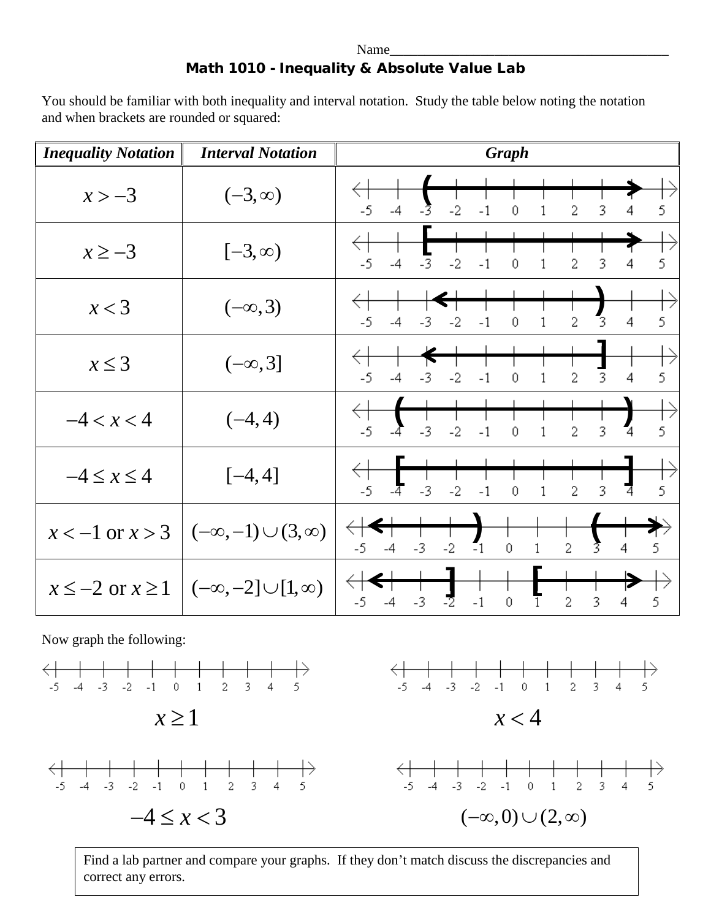## Name\_\_\_\_\_\_\_\_\_\_\_\_\_\_\_\_\_\_\_\_\_\_\_\_\_\_\_\_\_\_\_\_\_\_\_\_\_\_\_\_ Math 1010 - Inequality & Absolute Value Lab

You should be familiar with both inequality and interval notation. Study the table below noting the notation and when brackets are rounded or squared:

| <b>Inequality Notation</b>                | <b>Interval Notation</b>                                 | <b>Graph</b>                                                                                              |
|-------------------------------------------|----------------------------------------------------------|-----------------------------------------------------------------------------------------------------------|
| $x > -3$                                  | $(-3, \infty)$                                           | $-2$<br>$-5$<br>$-3$<br>$-1$<br>$\theta$<br>2<br>3<br>5<br>$-4$<br>1<br>4                                 |
| $x \ge -3$                                | $[-3, \infty)$                                           | $-2$<br>$-5$<br>2<br>3<br>5<br>$-3$<br>$-1$<br>$-4$<br>4<br>0<br>1                                        |
| x < 3                                     | $(-\infty, 3)$                                           | $\overline{3}$<br>5<br>$\overline{2}$<br>$-5$<br>$-2$<br>$-1$<br>$\overline{4}$<br>$-3$<br>1<br>$-4$<br>0 |
| $x \leq 3$                                | $(-\infty, 3]$                                           | 2<br>3<br>5<br>$-5$<br>$-2$<br>$-1$<br>$\mathbf 0$<br>1<br>$-3$<br>4<br>-4                                |
| $-4 < x < 4$                              | $(-4, 4)$                                                | 5<br>$-5$<br>$-3$<br>$-2$<br>$\overline{2}$<br>3<br>$-1$<br>$\theta$<br>4<br>1                            |
| $-4 \leq x \leq 4$                        | $[-4, 4]$                                                | 5<br>3<br>$-5$<br>$-3$<br>$-2$<br>$\overline{2}$<br>$-1$<br>$\theta$<br>1<br>4<br>-4                      |
|                                           | $x < -1$ or $x > 3$ $(-\infty, -1) \cup (3, \infty)$     | $\overline{2}$<br>$\mathbf{I}_1$<br>5<br>$-3$<br>$-2$<br>$-4$<br>0<br>1<br>4                              |
|                                           | $x \le -2$ or $x \ge 1$ $(-\infty, -2] \cup [1, \infty)$ | $-2$<br>5<br>3<br>$-3$<br>$-1$<br>2<br>$-4$<br>0<br>4<br>-5<br>1                                          |
| Now graph the following:                  |                                                          |                                                                                                           |
| $-3$<br>$-2$<br>$-5$<br>$-1$<br>$-4$<br>0 | 2<br>3<br>5<br>1<br>4                                    | $-3$<br>$-2$<br>5<br>$-5$<br>2<br>3<br>$-4$<br>$-1$<br>0<br>4<br>1                                        |







Find a lab partner and compare your graphs. If they don't match discuss the discrepancies and correct any errors.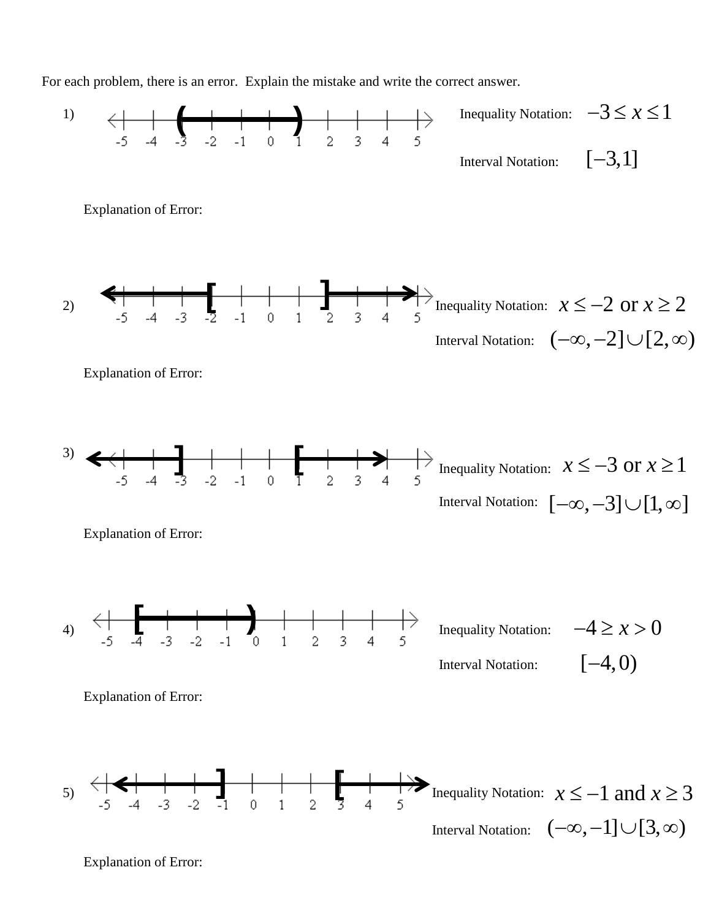For each problem, there is an error. Explain the mistake and write the correct answer.



Explanation of Error: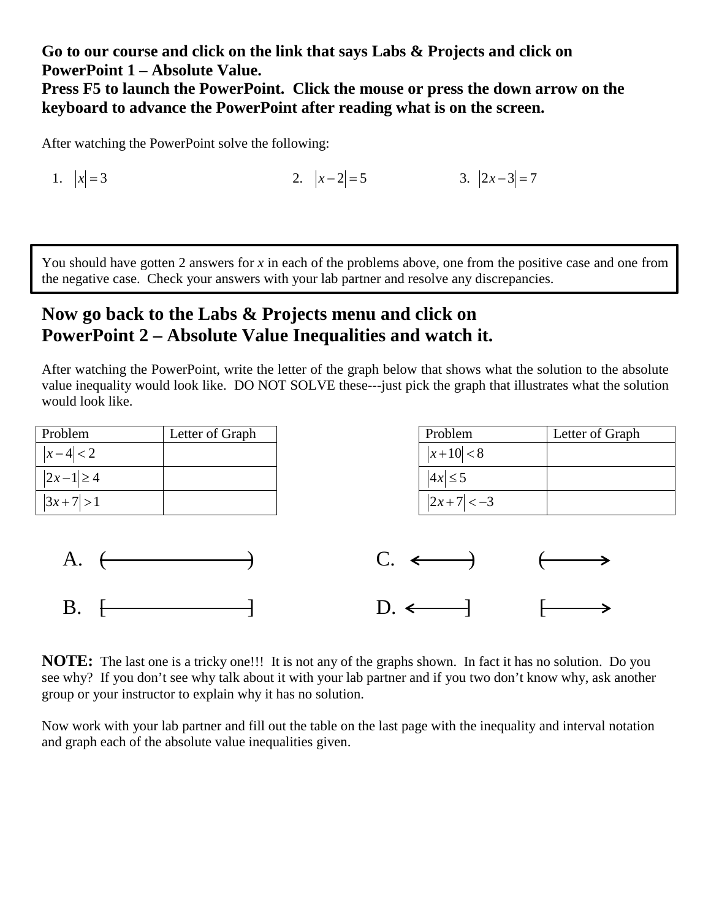**Go to our course and click on the link that says Labs & Projects and click on PowerPoint 1 – Absolute Value.**

**Press F5 to launch the PowerPoint. Click the mouse or press the down arrow on the keyboard to advance the PowerPoint after reading what is on the screen.**

After watching the PowerPoint solve the following:

1.  $|x| = 3$  2.  $|x-2| = 5$  3.  $|2x-3| = 7$ 

You should have gotten 2 answers for *x* in each of the problems above, one from the positive case and one from the negative case. Check your answers with your lab partner and resolve any discrepancies.

## **Now go back to the Labs & Projects menu and click on PowerPoint 2 – Absolute Value Inequalities and watch it.**

After watching the PowerPoint, write the letter of the graph below that shows what the solution to the absolute value inequality would look like. DO NOT SOLVE these---just pick the graph that illustrates what the solution would look like.

| Problem                   | Letter of Graph |                 | Problem                  | Letter of Graph |
|---------------------------|-----------------|-----------------|--------------------------|-----------------|
| $ x-4 <2$                 |                 |                 | $ x+10  < 8$             |                 |
| $\left 2x-1\right \geq 4$ |                 |                 | $ 4x  \leq 5$            |                 |
| $\left 3x+7\right >1$     |                 |                 | $ 2x+7  < -3$            |                 |
|                           |                 |                 |                          |                 |
| A. $\leftarrow$           |                 |                 | $C. \longleftrightarrow$ |                 |
| B.                        |                 | $D. \leftarrow$ | $\overline{\phantom{a}}$ |                 |

**NOTE:** The last one is a tricky one!!! It is not any of the graphs shown. In fact it has no solution. Do you see why? If you don't see why talk about it with your lab partner and if you two don't know why, ask another group or your instructor to explain why it has no solution.

Now work with your lab partner and fill out the table on the last page with the inequality and interval notation and graph each of the absolute value inequalities given.